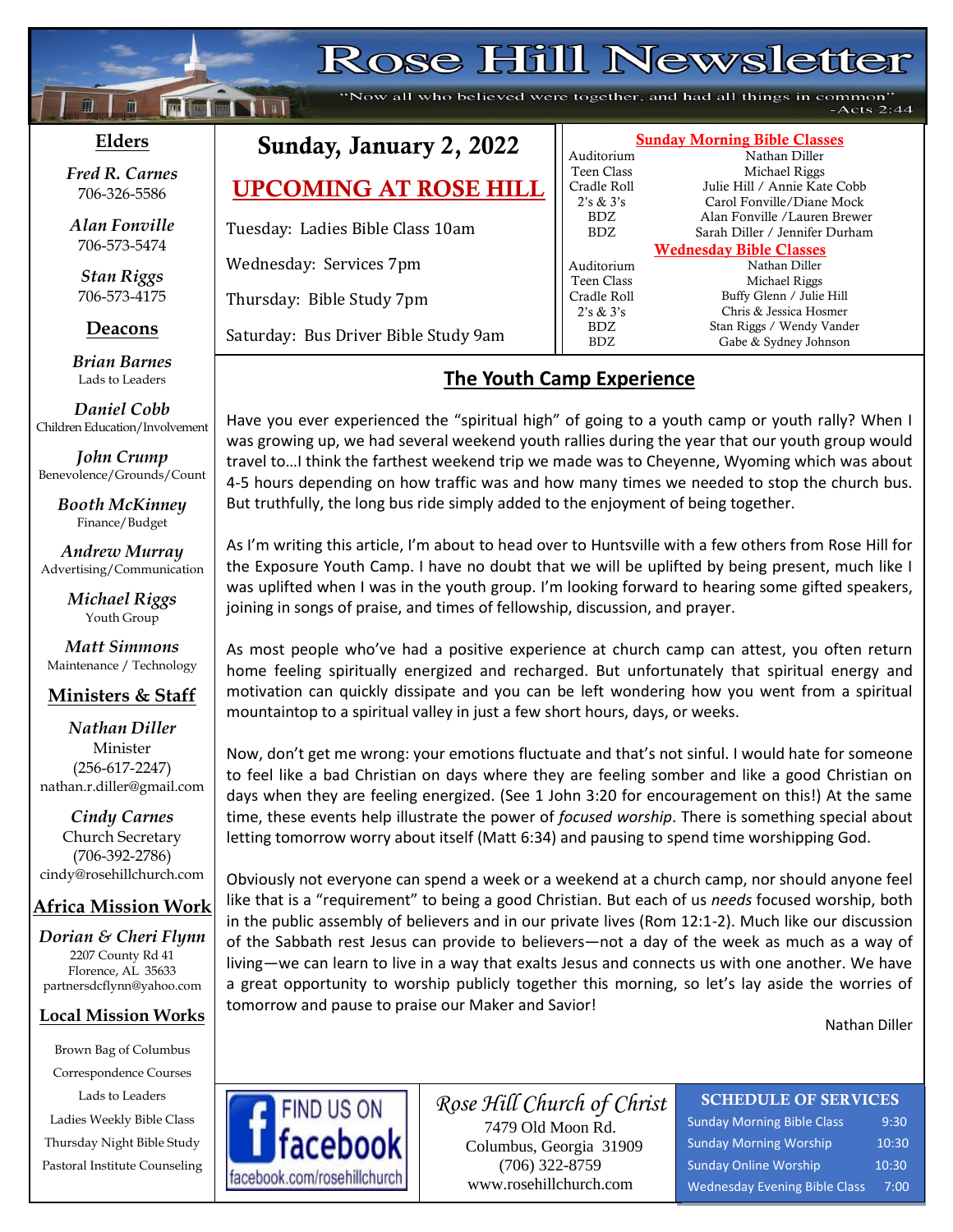# **Rose Hill Newsletter**

"Now all who believed were together, and had all things in common"  $-Acts 2:44$ 

### **Elders**

**;30Ma\*``**

**Following National** 

*Fred R. Carnes* 706-326-5586

*Alan Fonville* 706-573-5474

*Stan Riggs* 706-573-4175

### **Deacons**

**;**  *Brian Barnes* Lads to Leaders

*Daniel Cobb* Children Education/Involvement

*John Crump* Benevolence/Grounds/Count

> *Booth McKinney* Finance/Budget

*Andrew Murray* Advertising/Communication

> *Michael Riggs* Youth Group

*Matt Simmons* Maintenance / Technology

### **Ministers & Staff**

#### *Nathan Diller* Minister (256-617-2247) nathan.r.diller@gmail.com

*Cindy Carnes* Church Secretary (706-392-2786) cindy@rosehillchurch.com

## **Africa Mission Work**

*Dorian & Cheri Flynn* 2207 County Rd 41 Florence, AL 35633 [partnersdcflynn@yahoo.com](mailto:partnersdcflynn@yahoo.com)

#### **Local Mission Works**

Brown Bag of Columbus Correspondence Courses Lads to Leaders Ladies Weekly Bible Class Thursday Night Bible Study Pastoral Institute Counseling

## Sunday, January 2, 2022

UPCOMING AT ROSE HILL

Tuesday: Ladies Bible Class 10am

Wednesday: Services 7pm

Thursday: Bible Study 7pm

Saturday: Bus Driver Bible Study 9am

## **The Youth Camp Experience**

Have you ever experienced the "spiritual high" of going to a youth camp or youth rally? When I was growing up, we had several weekend youth rallies during the year that our youth group would travel to…I think the farthest weekend trip we made was to Cheyenne, Wyoming which was about 4-5 hours depending on how traffic was and how many times we needed to stop the church bus. But truthfully, the long bus ride simply added to the enjoyment of being together.

As I'm writing this article, I'm about to head over to Huntsville with a few others from Rose Hill for the Exposure Youth Camp. I have no doubt that we will be uplifted by being present, much like I was uplifted when I was in the youth group. I'm looking forward to hearing some gifted speakers, joining in songs of praise, and times of fellowship, discussion, and prayer.

As most people who've had a positive experience at church camp can attest, you often return home feeling spiritually energized and recharged. But unfortunately that spiritual energy and motivation can quickly dissipate and you can be left wondering how you went from a spiritual mountaintop to a spiritual valley in just a few short hours, days, or weeks.

Now, don't get me wrong: your emotions fluctuate and that's not sinful. I would hate for someone to feel like a bad Christian on days where they are feeling somber and like a good Christian on days when they are feeling energized. (See 1 John 3:20 for encouragement on this!) At the same time, these events help illustrate the power of *focused worship*. There is something special about letting tomorrow worry about itself (Matt 6:34) and pausing to spend time worshipping God.

Obviously not everyone can spend a week or a weekend at a church camp, nor should anyone feel like that is a "requirement" to being a good Christian. But each of us *needs* focused worship, both in the public assembly of believers and in our private lives (Rom 12:1-2). Much like our discussion of the Sabbath rest Jesus can provide to believers—not a day of the week as much as a way of living—we can learn to live in a way that exalts Jesus and connects us with one another. We have a great opportunity to worship publicly together this morning, so let's lay aside the worries of tomorrow and pause to praise our Maker and Savior!

Nathan Diller



*Rose Hill Church of Christ* 7479 Old Moon Rd. Columbus, Georgia 31909 (706) 322-8759 www.rosehillchurch.com

## SCHEDULE OF SERVICES

Sunday Morning Bible Class 9:30 Sunday Morning Worship 10:30 Sunday Online Worship 10:30 Wednesday Evening Bible Class 7:00

| <b>Sunday Morning Bible Classes</b> |                                |  |  |  |  |
|-------------------------------------|--------------------------------|--|--|--|--|
| Auditorium                          | Nathan Diller                  |  |  |  |  |
| Teen Class                          | Michael Riggs                  |  |  |  |  |
| Cradle Roll                         | Julie Hill / Annie Kate Cobb   |  |  |  |  |
| 2's & 3's                           | Carol Fonville/Diane Mock      |  |  |  |  |
| BDZ.                                | Alan Fonville /Lauren Brewer   |  |  |  |  |
| <b>BDZ</b>                          | Sarah Diller / Jennifer Durham |  |  |  |  |
| <b>Wednesday Bible Classes</b>      |                                |  |  |  |  |
| Auditorium                          | Nathan Diller                  |  |  |  |  |
| Teen Class                          | Michael Riggs                  |  |  |  |  |
| Cradle Roll                         | Buffy Glenn / Julie Hill       |  |  |  |  |
| 2's & 3's                           | Chris & Jessica Hosmer         |  |  |  |  |
| BDZ.                                | Stan Riggs / Wendy Vander      |  |  |  |  |
| BDZ.                                | Gabe & Sydney Johnson          |  |  |  |  |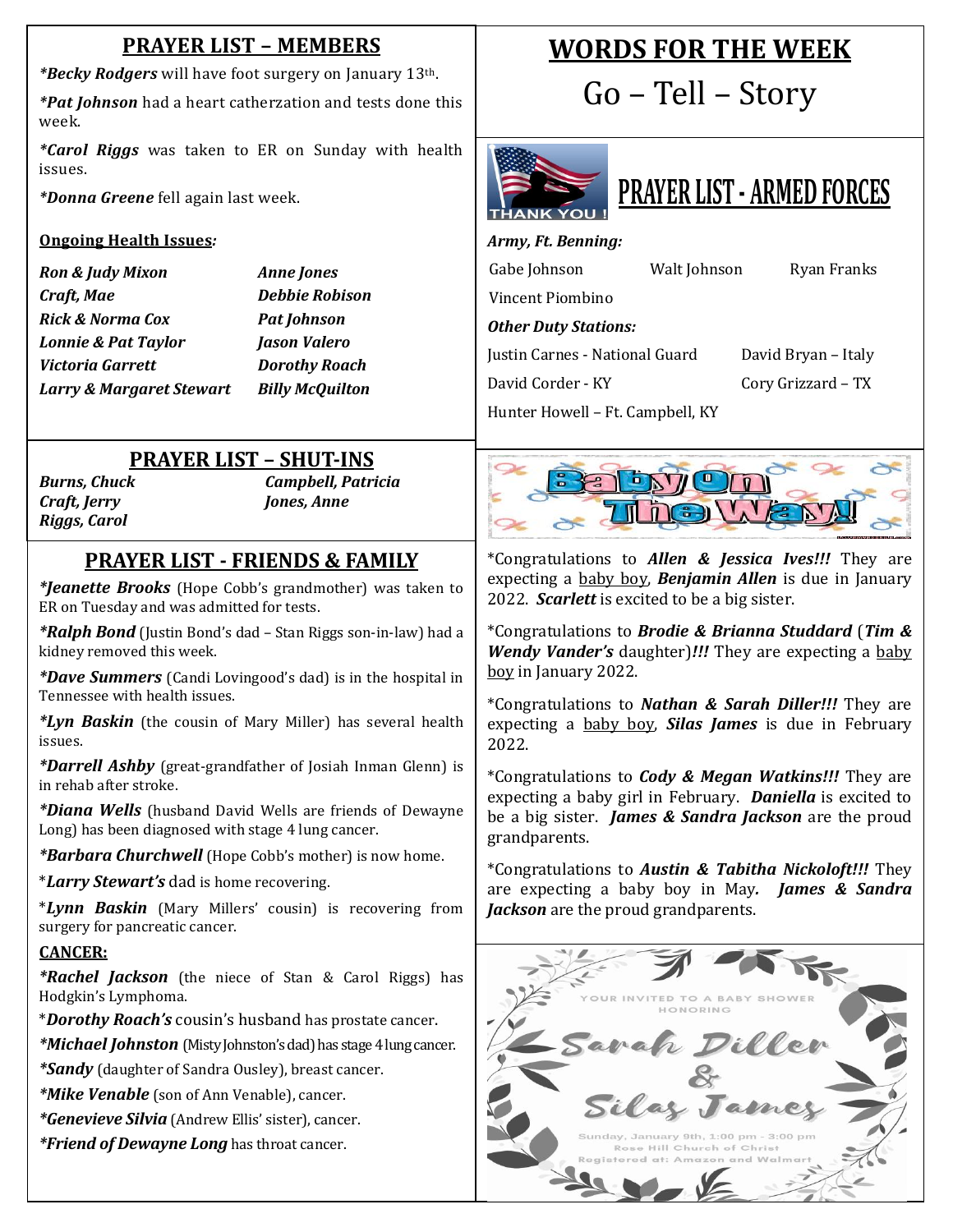## **PRAYER LIST – MEMBERS**

*\*Becky Rodgers* will have foot surgery on January 13th.

*\*Pat Johnson* had a heart catherzation and tests done this week.

*\*Carol Riggs* was taken to ER on Sunday with health issues.

*\*Donna Greene* fell again last week.

#### **Ongoing Health Issues***:*

*Ron & Judy Mixon Anne Jones Craft, Mae Debbie Robison Rick & Norma Cox Pat Johnson Lonnie & Pat Taylor Jason Valero Victoria Garrett Dorothy Roach Larry & Margaret Stewart Billy McQuilton*

## **PRAYER LIST – SHUT-INS**

*Riggs, Carol*

*Burns, Chuck Campbell, Patricia Craft, Jerry Jones, Anne*

## **PRAYER LIST - FRIENDS & FAMILY**

 ER on Tuesday and was admitted for tests. *\*Jeanette Brooks* (Hope Cobb's grandmother) was taken to

*\*Ralph Bond* (Justin Bond's dad – Stan Riggs son-in-law) had a kidney removed this week.

*\*Dave Summers* (Candi Lovingood's dad) is in the hospital in Tennessee with health issues.

*\*Lyn Baskin* (the cousin of Mary Miller) has several health issues.

*\*Darrell Ashby* (great-grandfather of Josiah Inman Glenn) is in rehab after stroke.

*\*Diana Wells* (husband David Wells are friends of Dewayne Long) has been diagnosed with stage 4 lung cancer.

*\*Barbara Churchwell* (Hope Cobb's mother) is now home.

\**Larry Stewart's* dad is home recovering.

\**Lynn Baskin* (Mary Millers' cousin) is recovering from surgery for pancreatic cancer.

#### **CANCER:**

*\*Rachel Jackson* (the niece of Stan & Carol Riggs) has Hodgkin's Lymphoma.

\**Dorothy Roach's* cousin's husband has prostate cancer.

*\*Michael Johnston* (Misty Johnston's dad) has stage 4 lung cancer.

*\*Sandy* (daughter of Sandra Ousley), breast cancer.

*\*Mike Venable* (son of Ann Venable), cancer.

*\*Genevieve Silvia* (Andrew Ellis' sister), cancer.

*\*Friend of Dewayne Long* has throat cancer.

## **WORDS FOR THE WEEK**

Go – Tell – Story





*Army, Ft. Benning:*

| Gabe Johnson                     | Walt Johnson |                     | Ryan Franks |  |  |  |
|----------------------------------|--------------|---------------------|-------------|--|--|--|
| Vincent Piombino                 |              |                     |             |  |  |  |
| <b>Other Duty Stations:</b>      |              |                     |             |  |  |  |
| Justin Carnes - National Guard   |              | David Bryan - Italy |             |  |  |  |
| David Corder - KY                |              | Cory Grizzard – TX  |             |  |  |  |
| Hunter Howell – Ft. Campbell, KY |              |                     |             |  |  |  |



\*Congratulations to *Allen & Jessica Ives!!!* They are expecting a baby boy, *Benjamin Allen* is due in January 2022. *Scarlett* is excited to be a big sister.

\*Congratulations to *Brodie & Brianna Studdard* (*Tim & Wendy Vander's* daughter)*!!!* They are expecting a baby boy in January 2022.

\*Congratulations to *Nathan & Sarah Diller!!!* They are expecting a baby boy, *Silas James* is due in February 2022.

\*Congratulations to *Cody & Megan Watkins!!!* They are expecting a baby girl in February. *Daniella* is excited to be a big sister. *James & Sandra Jackson* are the proud grandparents.

\*Congratulations to *Austin & Tabitha Nickoloft!!!* They are expecting a baby boy in May*. James & Sandra Jackson* are the proud grandparents.

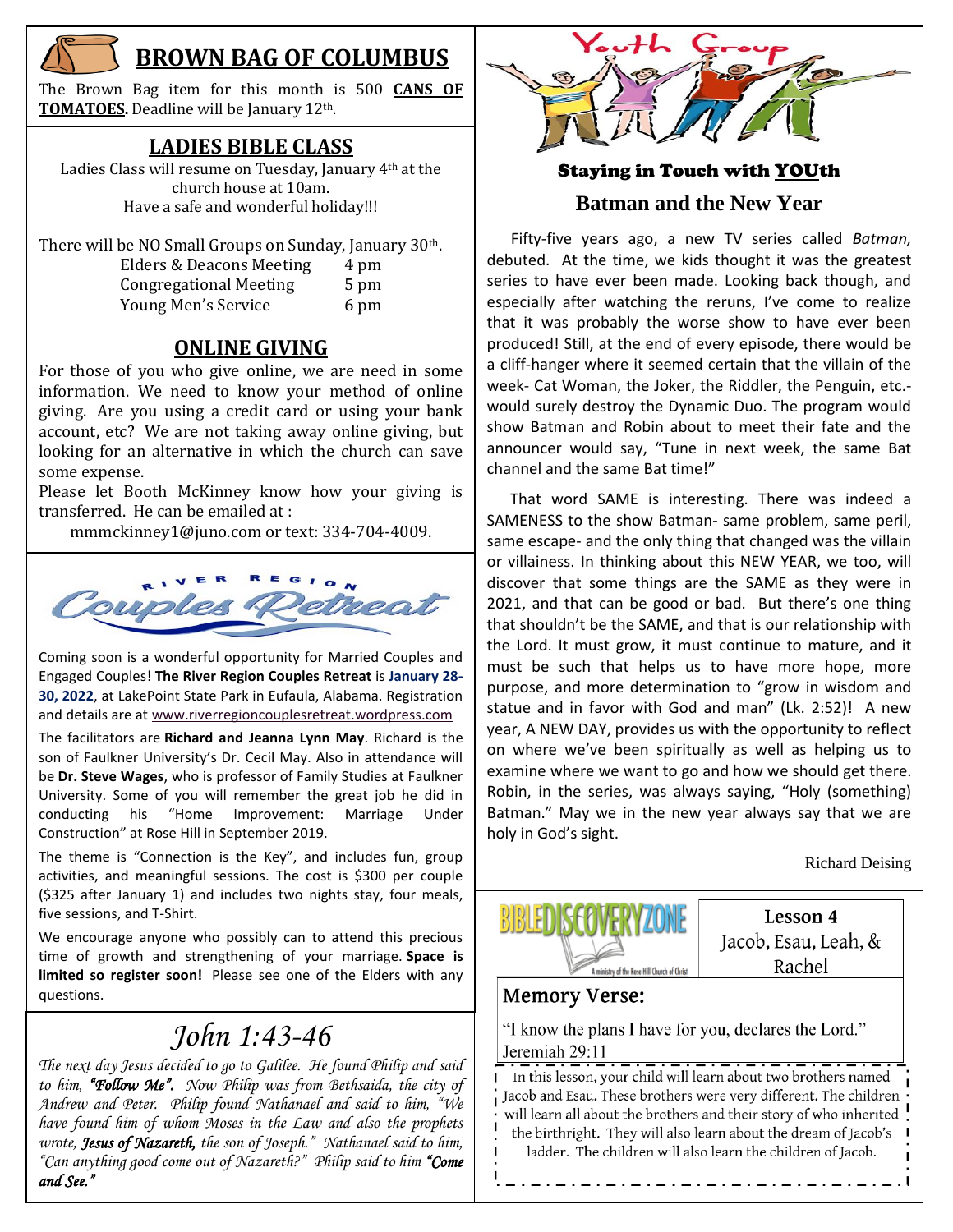

## **BROWN BAG OF COLUMBUS**

The Brown Bag item for this month is 500 **CANS OF TOMATOES.** Deadline will be January 12th.

### **LADIES BIBLE CLASS**

Ladies Class will resume on Tuesday, January 4th at the church house at 10am. Have a safe and wonderful holiday!!!

| There will be NO Small Groups on Sunday, January 30th. |      |  |  |  |
|--------------------------------------------------------|------|--|--|--|
| Elders & Deacons Meeting                               | 4 pm |  |  |  |
| <b>Congregational Meeting</b>                          | 5 pm |  |  |  |
| Young Men's Service                                    | 6 pm |  |  |  |

## **ONLINE GIVING**

For those of you who give online, we are need in some information. We need to know your method of online giving. Are you using a credit card or using your bank account, etc? We are not taking away online giving, but looking for an alternative in which the church can save some expense.

Please let Booth McKinney know how your giving is transferred. He can be emailed at :

[mmmckinney1@juno.com](mailto:mmmckinney1@juno.com) or text: 334-704-4009.



Coming soon is a wonderful opportunity for Married Couples and Engaged Couples! **The River Region Couples Retreat** is **January 28- 30, 2022**, at LakePoint State Park in Eufaula, Alabama. Registration and details are at [www.riverregioncouplesretreat.wordpress.com](http://www.riverregioncouplesretreat.wordpress.com/)

The facilitators are **Richard and Jeanna Lynn May**. Richard is the son of Faulkner University's Dr. Cecil May. Also in attendance will be **Dr. Steve Wages**, who is professor of Family Studies at Faulkner University. Some of you will remember the great job he did in conducting his "Home Improvement: Marriage Under Construction" at Rose Hill in September 2019.

The theme is "Connection is the Key", and includes fun, group activities, and meaningful sessions. The cost is \$300 per couple (\$325 after January 1) and includes two nights stay, four meals, five sessions, and T-Shirt.

We encourage anyone who possibly can to attend this precious time of growth and strengthening of your marriage. **Space is limited so register soon!** Please see one of the Elders with any questions.

## *John 1:43-46*

December 27-30 *The next day Jesus decided to go to Galilee. He found Philip and said to him, "Follow Me". Now Philip was from Bethsaida, the city of Andrew and Peter. Philip found Nathanael and said to him, "We have found him of whom Moses in the Law and also the prophets wrote, Jesus of Nazareth, the son of Joseph." Nathanael said to him, "Can anything good come out of Nazareth?" Philip said to him "Come and See."*



## Staying in Touch with YOUth **Batman and the New Year**

 Fifty-five years ago, a new TV series called *Batman,*  debuted. At the time, we kids thought it was the greatest series to have ever been made. Looking back though, and especially after watching the reruns, I've come to realize that it was probably the worse show to have ever been produced! Still, at the end of every episode, there would be a cliff-hanger where it seemed certain that the villain of the week- Cat Woman, the Joker, the Riddler, the Penguin, etc. would surely destroy the Dynamic Duo. The program would show Batman and Robin about to meet their fate and the announcer would say, "Tune in next week, the same Bat channel and the same Bat time!"

 That word SAME is interesting. There was indeed a SAMENESS to the show Batman- same problem, same peril, same escape- and the only thing that changed was the villain or villainess. In thinking about this NEW YEAR, we too, will discover that some things are the SAME as they were in 2021, and that can be good or bad. But there's one thing that shouldn't be the SAME, and that is our relationship with the Lord. It must grow, it must continue to mature, and it must be such that helps us to have more hope, more purpose, and more determination to "grow in wisdom and statue and in favor with God and man" (Lk. 2:52)! A new year, A NEW DAY, provides us with the opportunity to reflect on where we've been spiritually as well as helping us to examine where we want to go and how we should get there. Robin, in the series, was always saying, "Holy (something) Batman." May we in the new year always say that we are holy in God's sight.

Richard Deising



Lesson 4 Jacob, Esau, Leah, & Rachel

## **Memory Verse:**

"I know the plans I have for you, declares the Lord." Jeremiah 29:11

In this lesson, your child will learn about two brothers named Jacob and Esau. These brothers were very different. The children will learn all about the brothers and their story of who inherited the birthright. They will also learn about the dream of Jacob's ladder. The children will also learn the children of Jacob.